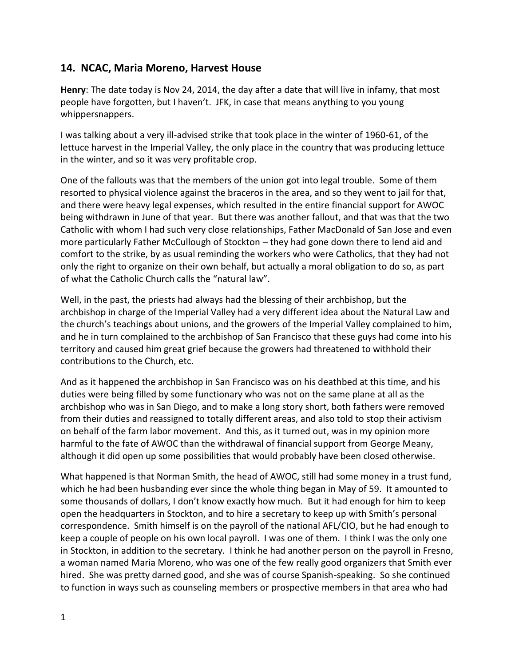## **14. NCAC, Maria Moreno, Harvest House**

**Henry**: The date today is Nov 24, 2014, the day after a date that will live in infamy, that most people have forgotten, but I haven't. JFK, in case that means anything to you young whippersnappers.

I was talking about a very ill-advised strike that took place in the winter of 1960-61, of the lettuce harvest in the Imperial Valley, the only place in the country that was producing lettuce in the winter, and so it was very profitable crop.

One of the fallouts was that the members of the union got into legal trouble. Some of them resorted to physical violence against the braceros in the area, and so they went to jail for that, and there were heavy legal expenses, which resulted in the entire financial support for AWOC being withdrawn in June of that year. But there was another fallout, and that was that the two Catholic with whom I had such very close relationships, Father MacDonald of San Jose and even more particularly Father McCullough of Stockton – they had gone down there to lend aid and comfort to the strike, by as usual reminding the workers who were Catholics, that they had not only the right to organize on their own behalf, but actually a moral obligation to do so, as part of what the Catholic Church calls the "natural law".

Well, in the past, the priests had always had the blessing of their archbishop, but the archbishop in charge of the Imperial Valley had a very different idea about the Natural Law and the church's teachings about unions, and the growers of the Imperial Valley complained to him, and he in turn complained to the archbishop of San Francisco that these guys had come into his territory and caused him great grief because the growers had threatened to withhold their contributions to the Church, etc.

And as it happened the archbishop in San Francisco was on his deathbed at this time, and his duties were being filled by some functionary who was not on the same plane at all as the archbishop who was in San Diego, and to make a long story short, both fathers were removed from their duties and reassigned to totally different areas, and also told to stop their activism on behalf of the farm labor movement. And this, as it turned out, was in my opinion more harmful to the fate of AWOC than the withdrawal of financial support from George Meany, although it did open up some possibilities that would probably have been closed otherwise.

What happened is that Norman Smith, the head of AWOC, still had some money in a trust fund, which he had been husbanding ever since the whole thing began in May of 59. It amounted to some thousands of dollars, I don't know exactly how much. But it had enough for him to keep open the headquarters in Stockton, and to hire a secretary to keep up with Smith's personal correspondence. Smith himself is on the payroll of the national AFL/CIO, but he had enough to keep a couple of people on his own local payroll. I was one of them. I think I was the only one in Stockton, in addition to the secretary. I think he had another person on the payroll in Fresno, a woman named Maria Moreno, who was one of the few really good organizers that Smith ever hired. She was pretty darned good, and she was of course Spanish-speaking. So she continued to function in ways such as counseling members or prospective members in that area who had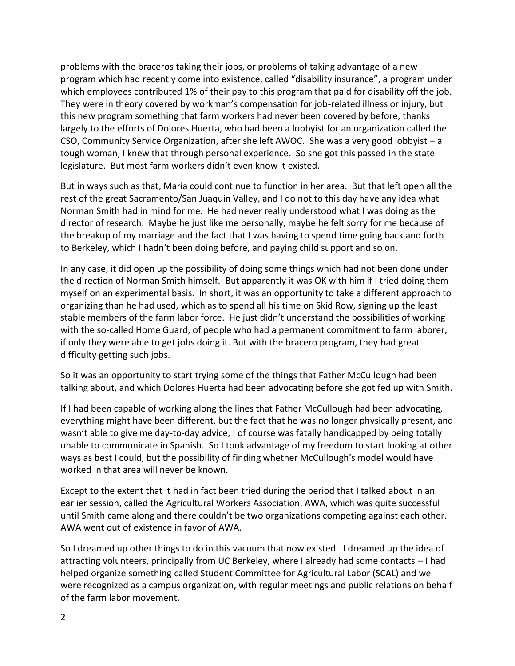problems with the braceros taking their jobs, or problems of taking advantage of a new program which had recently come into existence, called "disability insurance", a program under which employees contributed 1% of their pay to this program that paid for disability off the job. They were in theory covered by workman's compensation for job-related illness or injury, but this new program something that farm workers had never been covered by before, thanks largely to the efforts of Dolores Huerta, who had been a lobbyist for an organization called the CSO, Community Service Organization, after she left AWOC. She was a very good lobbyist – a tough woman, I knew that through personal experience. So she got this passed in the state legislature. But most farm workers didn't even know it existed.

But in ways such as that, Maria could continue to function in her area. But that left open all the rest of the great Sacramento/San Juaquin Valley, and I do not to this day have any idea what Norman Smith had in mind for me. He had never really understood what I was doing as the director of research. Maybe he just like me personally, maybe he felt sorry for me because of the breakup of my marriage and the fact that I was having to spend time going back and forth to Berkeley, which I hadn't been doing before, and paying child support and so on.

In any case, it did open up the possibility of doing some things which had not been done under the direction of Norman Smith himself. But apparently it was OK with him if I tried doing them myself on an experimental basis. In short, it was an opportunity to take a different approach to organizing than he had used, which as to spend all his time on Skid Row, signing up the least stable members of the farm labor force. He just didn't understand the possibilities of working with the so-called Home Guard, of people who had a permanent commitment to farm laborer, if only they were able to get jobs doing it. But with the bracero program, they had great difficulty getting such jobs.

So it was an opportunity to start trying some of the things that Father McCullough had been talking about, and which Dolores Huerta had been advocating before she got fed up with Smith.

If I had been capable of working along the lines that Father McCullough had been advocating, everything might have been different, but the fact that he was no longer physically present, and wasn't able to give me day-to-day advice, I of course was fatally handicapped by being totally unable to communicate in Spanish. So I took advantage of my freedom to start looking at other ways as best I could, but the possibility of finding whether McCullough's model would have worked in that area will never be known.

Except to the extent that it had in fact been tried during the period that I talked about in an earlier session, called the Agricultural Workers Association, AWA, which was quite successful until Smith came along and there couldn't be two organizations competing against each other. AWA went out of existence in favor of AWA.

So I dreamed up other things to do in this vacuum that now existed. I dreamed up the idea of attracting volunteers, principally from UC Berkeley, where I already had some contacts – I had helped organize something called Student Committee for Agricultural Labor (SCAL) and we were recognized as a campus organization, with regular meetings and public relations on behalf of the farm labor movement.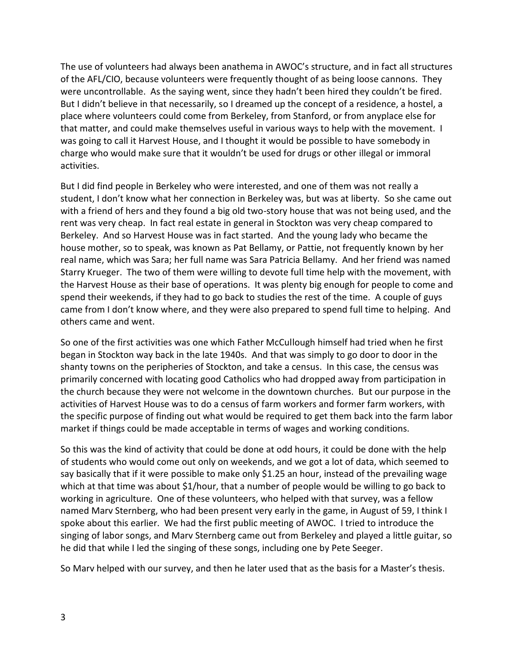The use of volunteers had always been anathema in AWOC's structure, and in fact all structures of the AFL/CIO, because volunteers were frequently thought of as being loose cannons. They were uncontrollable. As the saying went, since they hadn't been hired they couldn't be fired. But I didn't believe in that necessarily, so I dreamed up the concept of a residence, a hostel, a place where volunteers could come from Berkeley, from Stanford, or from anyplace else for that matter, and could make themselves useful in various ways to help with the movement. I was going to call it Harvest House, and I thought it would be possible to have somebody in charge who would make sure that it wouldn't be used for drugs or other illegal or immoral activities.

But I did find people in Berkeley who were interested, and one of them was not really a student, I don't know what her connection in Berkeley was, but was at liberty. So she came out with a friend of hers and they found a big old two-story house that was not being used, and the rent was very cheap. In fact real estate in general in Stockton was very cheap compared to Berkeley. And so Harvest House was in fact started. And the young lady who became the house mother, so to speak, was known as Pat Bellamy, or Pattie, not frequently known by her real name, which was Sara; her full name was Sara Patricia Bellamy. And her friend was named Starry Krueger. The two of them were willing to devote full time help with the movement, with the Harvest House as their base of operations. It was plenty big enough for people to come and spend their weekends, if they had to go back to studies the rest of the time. A couple of guys came from I don't know where, and they were also prepared to spend full time to helping. And others came and went.

So one of the first activities was one which Father McCullough himself had tried when he first began in Stockton way back in the late 1940s. And that was simply to go door to door in the shanty towns on the peripheries of Stockton, and take a census. In this case, the census was primarily concerned with locating good Catholics who had dropped away from participation in the church because they were not welcome in the downtown churches. But our purpose in the activities of Harvest House was to do a census of farm workers and former farm workers, with the specific purpose of finding out what would be required to get them back into the farm labor market if things could be made acceptable in terms of wages and working conditions.

So this was the kind of activity that could be done at odd hours, it could be done with the help of students who would come out only on weekends, and we got a lot of data, which seemed to say basically that if it were possible to make only \$1.25 an hour, instead of the prevailing wage which at that time was about \$1/hour, that a number of people would be willing to go back to working in agriculture. One of these volunteers, who helped with that survey, was a fellow named Marv Sternberg, who had been present very early in the game, in August of 59, I think I spoke about this earlier. We had the first public meeting of AWOC. I tried to introduce the singing of labor songs, and Marv Sternberg came out from Berkeley and played a little guitar, so he did that while I led the singing of these songs, including one by Pete Seeger.

So Marv helped with our survey, and then he later used that as the basis for a Master's thesis.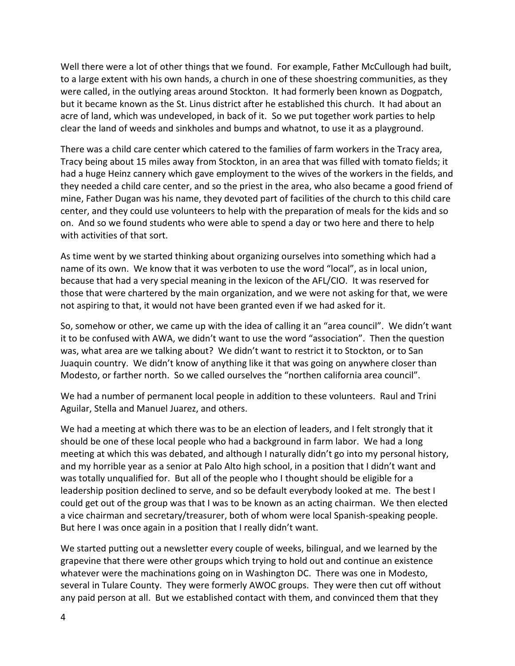Well there were a lot of other things that we found. For example, Father McCullough had built, to a large extent with his own hands, a church in one of these shoestring communities, as they were called, in the outlying areas around Stockton. It had formerly been known as Dogpatch, but it became known as the St. Linus district after he established this church. It had about an acre of land, which was undeveloped, in back of it. So we put together work parties to help clear the land of weeds and sinkholes and bumps and whatnot, to use it as a playground.

There was a child care center which catered to the families of farm workers in the Tracy area, Tracy being about 15 miles away from Stockton, in an area that was filled with tomato fields; it had a huge Heinz cannery which gave employment to the wives of the workers in the fields, and they needed a child care center, and so the priest in the area, who also became a good friend of mine, Father Dugan was his name, they devoted part of facilities of the church to this child care center, and they could use volunteers to help with the preparation of meals for the kids and so on. And so we found students who were able to spend a day or two here and there to help with activities of that sort.

As time went by we started thinking about organizing ourselves into something which had a name of its own. We know that it was verboten to use the word "local", as in local union, because that had a very special meaning in the lexicon of the AFL/CIO. It was reserved for those that were chartered by the main organization, and we were not asking for that, we were not aspiring to that, it would not have been granted even if we had asked for it.

So, somehow or other, we came up with the idea of calling it an "area council". We didn't want it to be confused with AWA, we didn't want to use the word "association". Then the question was, what area are we talking about? We didn't want to restrict it to Stockton, or to San Juaquin country. We didn't know of anything like it that was going on anywhere closer than Modesto, or farther north. So we called ourselves the "northen california area council".

We had a number of permanent local people in addition to these volunteers. Raul and Trini Aguilar, Stella and Manuel Juarez, and others.

We had a meeting at which there was to be an election of leaders, and I felt strongly that it should be one of these local people who had a background in farm labor. We had a long meeting at which this was debated, and although I naturally didn't go into my personal history, and my horrible year as a senior at Palo Alto high school, in a position that I didn't want and was totally unqualified for. But all of the people who I thought should be eligible for a leadership position declined to serve, and so be default everybody looked at me. The best I could get out of the group was that I was to be known as an acting chairman. We then elected a vice chairman and secretary/treasurer, both of whom were local Spanish-speaking people. But here I was once again in a position that I really didn't want.

We started putting out a newsletter every couple of weeks, bilingual, and we learned by the grapevine that there were other groups which trying to hold out and continue an existence whatever were the machinations going on in Washington DC. There was one in Modesto, several in Tulare County. They were formerly AWOC groups. They were then cut off without any paid person at all. But we established contact with them, and convinced them that they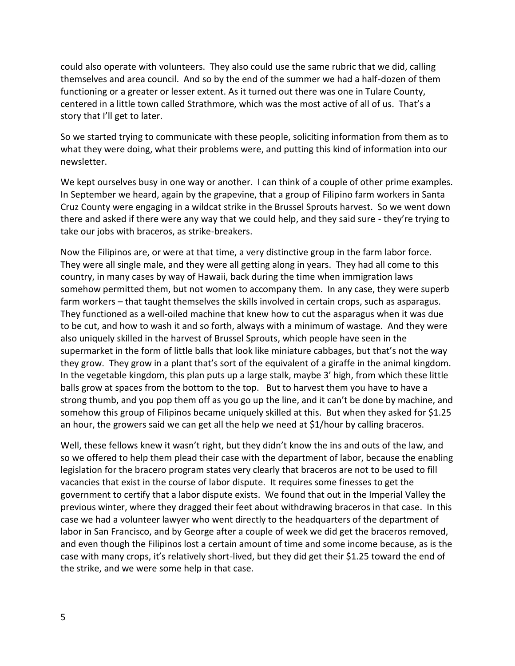could also operate with volunteers. They also could use the same rubric that we did, calling themselves and area council. And so by the end of the summer we had a half-dozen of them functioning or a greater or lesser extent. As it turned out there was one in Tulare County, centered in a little town called Strathmore, which was the most active of all of us. That's a story that I'll get to later.

So we started trying to communicate with these people, soliciting information from them as to what they were doing, what their problems were, and putting this kind of information into our newsletter.

We kept ourselves busy in one way or another. I can think of a couple of other prime examples. In September we heard, again by the grapevine, that a group of Filipino farm workers in Santa Cruz County were engaging in a wildcat strike in the Brussel Sprouts harvest. So we went down there and asked if there were any way that we could help, and they said sure - they're trying to take our jobs with braceros, as strike-breakers.

Now the Filipinos are, or were at that time, a very distinctive group in the farm labor force. They were all single male, and they were all getting along in years. They had all come to this country, in many cases by way of Hawaii, back during the time when immigration laws somehow permitted them, but not women to accompany them. In any case, they were superb farm workers – that taught themselves the skills involved in certain crops, such as asparagus. They functioned as a well-oiled machine that knew how to cut the asparagus when it was due to be cut, and how to wash it and so forth, always with a minimum of wastage. And they were also uniquely skilled in the harvest of Brussel Sprouts, which people have seen in the supermarket in the form of little balls that look like miniature cabbages, but that's not the way they grow. They grow in a plant that's sort of the equivalent of a giraffe in the animal kingdom. In the vegetable kingdom, this plan puts up a large stalk, maybe 3' high, from which these little balls grow at spaces from the bottom to the top. But to harvest them you have to have a strong thumb, and you pop them off as you go up the line, and it can't be done by machine, and somehow this group of Filipinos became uniquely skilled at this. But when they asked for \$1.25 an hour, the growers said we can get all the help we need at \$1/hour by calling braceros.

Well, these fellows knew it wasn't right, but they didn't know the ins and outs of the law, and so we offered to help them plead their case with the department of labor, because the enabling legislation for the bracero program states very clearly that braceros are not to be used to fill vacancies that exist in the course of labor dispute. It requires some finesses to get the government to certify that a labor dispute exists. We found that out in the Imperial Valley the previous winter, where they dragged their feet about withdrawing braceros in that case. In this case we had a volunteer lawyer who went directly to the headquarters of the department of labor in San Francisco, and by George after a couple of week we did get the braceros removed, and even though the Filipinos lost a certain amount of time and some income because, as is the case with many crops, it's relatively short-lived, but they did get their \$1.25 toward the end of the strike, and we were some help in that case.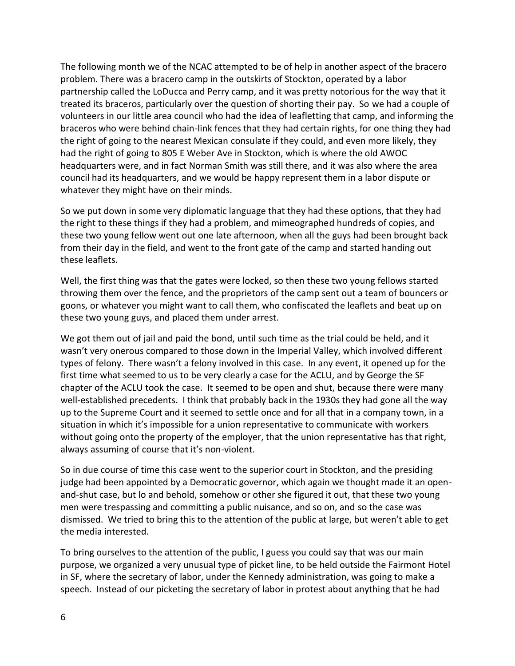The following month we of the NCAC attempted to be of help in another aspect of the bracero problem. There was a bracero camp in the outskirts of Stockton, operated by a labor partnership called the LoDucca and Perry camp, and it was pretty notorious for the way that it treated its braceros, particularly over the question of shorting their pay. So we had a couple of volunteers in our little area council who had the idea of leafletting that camp, and informing the braceros who were behind chain-link fences that they had certain rights, for one thing they had the right of going to the nearest Mexican consulate if they could, and even more likely, they had the right of going to 805 E Weber Ave in Stockton, which is where the old AWOC headquarters were, and in fact Norman Smith was still there, and it was also where the area council had its headquarters, and we would be happy represent them in a labor dispute or whatever they might have on their minds.

So we put down in some very diplomatic language that they had these options, that they had the right to these things if they had a problem, and mimeographed hundreds of copies, and these two young fellow went out one late afternoon, when all the guys had been brought back from their day in the field, and went to the front gate of the camp and started handing out these leaflets.

Well, the first thing was that the gates were locked, so then these two young fellows started throwing them over the fence, and the proprietors of the camp sent out a team of bouncers or goons, or whatever you might want to call them, who confiscated the leaflets and beat up on these two young guys, and placed them under arrest.

We got them out of jail and paid the bond, until such time as the trial could be held, and it wasn't very onerous compared to those down in the Imperial Valley, which involved different types of felony. There wasn't a felony involved in this case. In any event, it opened up for the first time what seemed to us to be very clearly a case for the ACLU, and by George the SF chapter of the ACLU took the case. It seemed to be open and shut, because there were many well-established precedents. I think that probably back in the 1930s they had gone all the way up to the Supreme Court and it seemed to settle once and for all that in a company town, in a situation in which it's impossible for a union representative to communicate with workers without going onto the property of the employer, that the union representative has that right, always assuming of course that it's non-violent.

So in due course of time this case went to the superior court in Stockton, and the presiding judge had been appointed by a Democratic governor, which again we thought made it an open and-shut case, but lo and behold, somehow or other she figured it out, that these two young men were trespassing and committing a public nuisance, and so on, and so the case was dismissed. We tried to bring this to the attention of the public at large, but weren't able to get the media interested.

To bring ourselves to the attention of the public, I guess you could say that was our main purpose, we organized a very unusual type of picket line, to be held outside the Fairmont Hotel in SF, where the secretary of labor, under the Kennedy administration, was going to make a speech. Instead of our picketing the secretary of labor in protest about anything that he had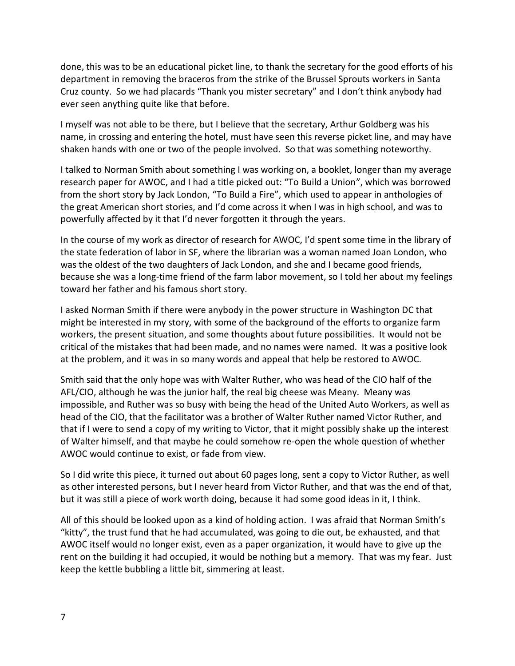done, this was to be an educational picket line, to thank the secretary for the good efforts of his department in removing the braceros from the strike of the Brussel Sprouts workers in Santa Cruz county. So we had placards "Thank you mister secretary" and I don't think anybody had ever seen anything quite like that before.

I myself was not able to be there, but I believe that the secretary, Arthur Goldberg was his name, in crossing and entering the hotel, must have seen this reverse picket line, and may have shaken hands with one or two of the people involved. So that was something noteworthy.

I talked to Norman Smith about something I was working on, a booklet, longer than my average research paper for AWOC, and I had a title picked out: "To Build a Union", which was borrowed from the short story by Jack London, "To Build a Fire", which used to appear in anthologies of the great American short stories, and I'd come across it when I was in high school, and was to powerfully affected by it that I'd never forgotten it through the years.

In the course of my work as director of research for AWOC, I'd spent some time in the library of the state federation of labor in SF, where the librarian was a woman named Joan London, who was the oldest of the two daughters of Jack London, and she and I became good friends, because she was a long-time friend of the farm labor movement, so I told her about my feelings toward her father and his famous short story.

I asked Norman Smith if there were anybody in the power structure in Washington DC that might be interested in my story, with some of the background of the efforts to organize farm workers, the present situation, and some thoughts about future possibilities. It would not be critical of the mistakes that had been made, and no names were named. It was a positive look at the problem, and it was in so many words and appeal that help be restored to AWOC.

Smith said that the only hope was with Walter Ruther, who was head of the CIO half of the AFL/CIO, although he was the junior half, the real big cheese was Meany. Meany was impossible, and Ruther was so busy with being the head of the United Auto Workers, as well as head of the CIO, that the facilitator was a brother of Walter Ruther named Victor Ruther, and that if I were to send a copy of my writing to Victor, that it might possibly shake up the interest of Walter himself, and that maybe he could somehow re-open the whole question of whether AWOC would continue to exist, or fade from view.

So I did write this piece, it turned out about 60 pages long, sent a copy to Victor Ruther, as well as other interested persons, but I never heard from Victor Ruther, and that was the end of that, but it was still a piece of work worth doing, because it had some good ideas in it, I think.

All of this should be looked upon as a kind of holding action. I was afraid that Norman Smith's "kitty", the trust fund that he had accumulated, was going to die out, be exhausted, and that AWOC itself would no longer exist, even as a paper organization, it would have to give up the rent on the building it had occupied, it would be nothing but a memory. That was my fear. Just keep the kettle bubbling a little bit, simmering at least.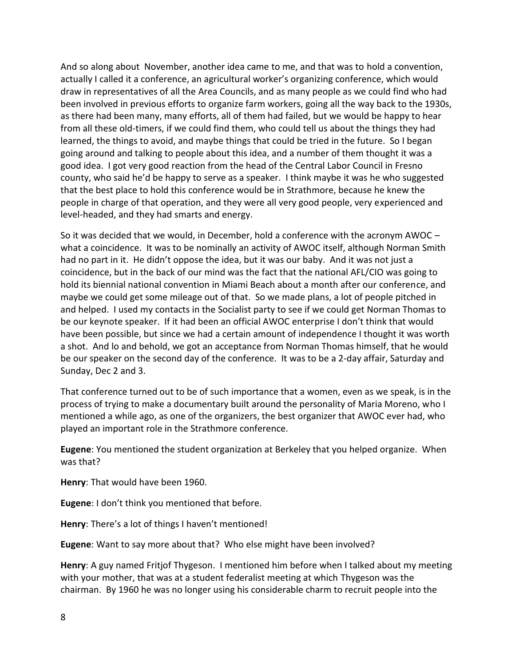And so along about November, another idea came to me, and that was to hold a convention, actually I called it a conference, an agricultural worker's organizing conference, which would draw in representatives of all the Area Councils, and as many people as we could find who had been involved in previous efforts to organize farm workers, going all the way back to the 1930s, as there had been many, many efforts, all of them had failed, but we would be happy to hear from all these old-timers, if we could find them, who could tell us about the things they had learned, the things to avoid, and maybe things that could be tried in the future. So I began going around and talking to people about this idea, and a number of them thought it was a good idea. I got very good reaction from the head of the Central Labor Council in Fresno county, who said he'd be happy to serve as a speaker. I think maybe it was he who suggested that the best place to hold this conference would be in Strathmore, because he knew the people in charge of that operation, and they were all very good people, very experienced and level-headed, and they had smarts and energy.

So it was decided that we would, in December, hold a conference with the acronym AWOC – what a coincidence. It was to be nominally an activity of AWOC itself, although Norman Smith had no part in it. He didn't oppose the idea, but it was our baby. And it was not just a coincidence, but in the back of our mind was the fact that the national AFL/CIO was going to hold its biennial national convention in Miami Beach about a month after our conference, and maybe we could get some mileage out of that. So we made plans, a lot of people pitched in and helped. I used my contacts in the Socialist party to see if we could get Norman Thomas to be our keynote speaker. If it had been an official AWOC enterprise I don't think that would have been possible, but since we had a certain amount of independence I thought it was worth a shot. And lo and behold, we got an acceptance from Norman Thomas himself, that he would be our speaker on the second day of the conference. It was to be a 2-day affair, Saturday and Sunday, Dec 2 and 3.

That conference turned out to be of such importance that a women, even as we speak, is in the process of trying to make a documentary built around the personality of Maria Moreno, who I mentioned a while ago, as one of the organizers, the best organizer that AWOC ever had, who played an important role in the Strathmore conference.

**Eugene**: You mentioned the student organization at Berkeley that you helped organize. When was that?

**Henry**: That would have been 1960.

**Eugene**: I don't think you mentioned that before.

**Henry**: There's a lot of things I haven't mentioned!

**Eugene**: Want to say more about that? Who else might have been involved?

**Henry**: A guy named Fritjof Thygeson. I mentioned him before when I talked about my meeting with your mother, that was at a student federalist meeting at which Thygeson was the chairman. By 1960 he was no longer using his considerable charm to recruit people into the